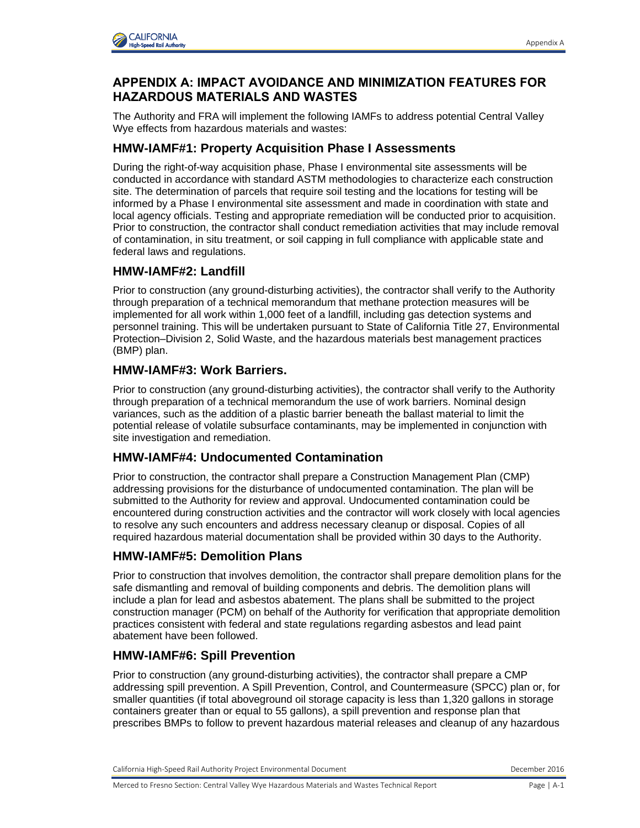

# **APPENDIX A: IMPACT AVOIDANCE AND MINIMIZATION FEATURES FOR HAZARDOUS MATERIALS AND WASTES**

The Authority and FRA will implement the following IAMFs to address potential Central Valley Wye effects from hazardous materials and wastes:

# **HMW-IAMF#1: Property Acquisition Phase I Assessments**

During the right-of-way acquisition phase, Phase I environmental site assessments will be conducted in accordance with standard ASTM methodologies to characterize each construction site. The determination of parcels that require soil testing and the locations for testing will be informed by a Phase I environmental site assessment and made in coordination with state and local agency officials. Testing and appropriate remediation will be conducted prior to acquisition. Prior to construction, the contractor shall conduct remediation activities that may include removal of contamination, in situ treatment, or soil capping in full compliance with applicable state and federal laws and regulations.

#### **HMW-IAMF#2: Landfill**

Prior to construction (any ground-disturbing activities), the contractor shall verify to the Authority through preparation of a technical memorandum that methane protection measures will be implemented for all work within 1,000 feet of a landfill, including gas detection systems and personnel training. This will be undertaken pursuant to State of California Title 27, Environmental Protection–Division 2, Solid Waste, and the hazardous materials best management practices (BMP) plan.

### **HMW-IAMF#3: Work Barriers.**

Prior to construction (any ground-disturbing activities), the contractor shall verify to the Authority through preparation of a technical memorandum the use of work barriers. Nominal design variances, such as the addition of a plastic barrier beneath the ballast material to limit the potential release of volatile subsurface contaminants, may be implemented in conjunction with site investigation and remediation.

# **HMW-IAMF#4: Undocumented Contamination**

Prior to construction, the contractor shall prepare a Construction Management Plan (CMP) addressing provisions for the disturbance of undocumented contamination. The plan will be submitted to the Authority for review and approval. Undocumented contamination could be encountered during construction activities and the contractor will work closely with local agencies to resolve any such encounters and address necessary cleanup or disposal. Copies of all required hazardous material documentation shall be provided within 30 days to the Authority.

# **HMW-IAMF#5: Demolition Plans**

Prior to construction that involves demolition, the contractor shall prepare demolition plans for the safe dismantling and removal of building components and debris. The demolition plans will include a plan for lead and asbestos abatement. The plans shall be submitted to the project construction manager (PCM) on behalf of the Authority for verification that appropriate demolition practices consistent with federal and state regulations regarding asbestos and lead paint abatement have been followed.

# **HMW-IAMF#6: Spill Prevention**

Prior to construction (any ground-disturbing activities), the contractor shall prepare a CMP addressing spill prevention. A Spill Prevention, Control, and Countermeasure (SPCC) plan or, for smaller quantities (if total aboveground oil storage capacity is less than 1,320 gallons in storage containers greater than or equal to 55 gallons), a spill prevention and response plan that prescribes BMPs to follow to prevent hazardous material releases and cleanup of any hazardous

California High-Speed Rail Authority Project Environmental Document **December 2016** December 2016